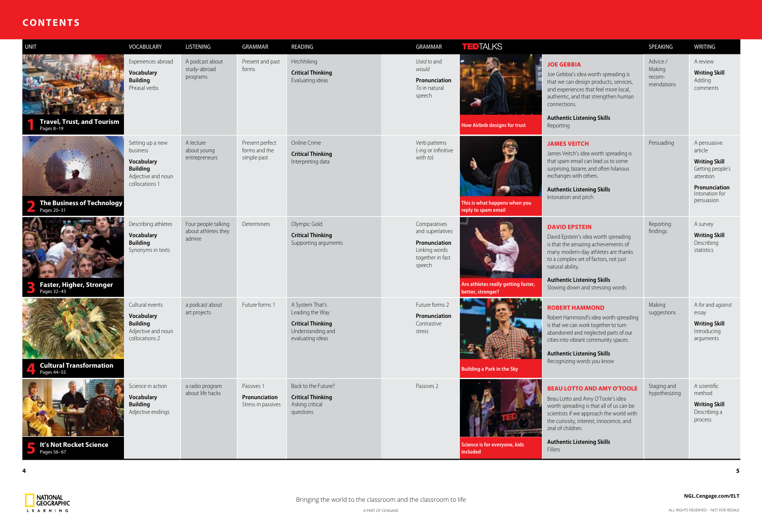## **CONTENTS**

| <b>UNIT</b>                                      | VOCABULARY                                                                                            | LISTENING                                            | <b>GRAMMAR</b>                                    | READING                                                                                                 | GRAMMAR                                                                                          | <b>TEDTALKS</b>                                          |                                                                                                                                                                                                                                                                                  | SPEAKING                                   | <b>WRITING</b>                                                                                  |
|--------------------------------------------------|-------------------------------------------------------------------------------------------------------|------------------------------------------------------|---------------------------------------------------|---------------------------------------------------------------------------------------------------------|--------------------------------------------------------------------------------------------------|----------------------------------------------------------|----------------------------------------------------------------------------------------------------------------------------------------------------------------------------------------------------------------------------------------------------------------------------------|--------------------------------------------|-------------------------------------------------------------------------------------------------|
| <b>Travel, Trust, and Tourism</b><br>Pages 8-19  | Experiences abroad<br><b>Vocabulary</b><br><b>Building</b><br>Phrasal verbs                           | A podcast about<br>study-abroad<br>programs          | Present and past<br>forms                         | Hitchhiking<br><b>Critical Thinking</b><br>Evaluating ideas                                             | Used to and<br>would<br>Pronunciation<br>To in natural<br>speech                                 | How Airbnb designs for trust                             | <b>JOE GEBBIA</b><br>Joe Gebbia's idea worth spreading is<br>that we can design products, services,<br>and experiences that feel more local,<br>authentic, and that strengthen human<br>connections.<br><b>Authentic Listening Skills</b><br>Reporting                           | Advice /<br>Making<br>recom-<br>mendations | A review<br>Writing:<br>Adding<br>commen                                                        |
| <b>The Business of Technology</b><br>Pages 20-31 | Setting up a new<br>business<br>Vocabulary<br><b>Building</b><br>Adjective and noun<br>collocations 1 | A lecture<br>about young<br>entrepreneurs            | Present perfect<br>forms and the<br>simple past   | Online Crime<br><b>Critical Thinking</b><br>Interpreting data                                           | Verb patterns<br>(-ing or infinitive<br>with to)                                                 | This is what happens when you<br>reply to spam email     | <b>JAMES VEITCH</b><br>James Veitch's idea worth spreading is<br>that spam email can lead us to some<br>surprising, bizarre, and often hilarious<br>exchanges with others.<br><b>Authentic Listening Skills</b><br>Intonation and pitch                                          | Persuading                                 | A persua:<br>article<br>Writing:<br>Getting p<br>attention<br>Pronunc<br>Intonatio<br>persuasio |
| <b>Faster, Higher, Stronger</b><br>Pages 32-43   | Describing athletes<br><b>Vocabulary</b><br><b>Building</b><br>Synonyms in texts                      | Four people talking<br>about athletes they<br>admire | Determiners                                       | Olympic Gold<br><b>Critical Thinking</b><br>Supporting arguments                                        | Comparatives<br>and superlatives<br>Pronunciation<br>Linking words<br>together in fast<br>speech | Are athletes really getting faster,<br>better, stronger? | <b>DAVID EPSTEIN</b><br>David Epstein's idea worth spreading<br>is that the amazing achievements of<br>many modern-day athletes are thanks<br>to a complex set of factors, not just<br>natural ability.<br><b>Authentic Listening Skills</b><br>Slowing down and stressing words | Reporting<br>findings                      | A survey<br><b>Writing</b><br>Describin<br>statistics                                           |
| <b>Cultural Transformation</b><br>Pages 44-55    | Cultural events<br><b>Vocabulary</b><br><b>Building</b><br>Adjective and noun<br>collocations 2       | a podcast about<br>art projects                      | Future forms 1                                    | A System That's<br>Leading the Way<br><b>Critical Thinking</b><br>Understanding and<br>evaluating ideas | Future forms 2<br>Pronunciation<br>Contrastive<br>stress                                         | <b>Building a Park in the Sky</b>                        | <b>ROBERT HAMMOND</b><br>Robert Hammond's idea worth spreading<br>is that we can work together to turn<br>abandoned and neglected parts of our<br>cities into vibrant community spaces.<br><b>Authentic Listening Skills</b><br>Recognizing words you know                       | Making<br>suggestions                      | A for and<br>essay<br>Writing<br>Introduci<br>argumen                                           |
| It's Not Rocket Science<br>Pages 56-67           | Science in action<br><b>Vocabulary</b><br><b>Building</b><br>Adjective endings                        | a radio program<br>about life hacks                  | Passives 1<br>Pronunciation<br>Stress in passives | Back to the Future?<br><b>Critical Thinking</b><br>Asking critical<br>questions                         | Passives 2                                                                                       | Science is for everyone, kids<br>included                | <b>BEAU LOTTO AND AMY O'TOOLE</b><br>Beau Lotto and Amy O'Toole's idea<br>worth spreading is that all of us can be<br>scientists if we approach the world with<br>the curiosity, interest, innocence, and<br>zeal of children.<br><b>Authentic Listening Skills</b><br>Fillers   | Staging and<br>hypothesizing               | A scientif<br>method<br><b>Writing</b><br>Describin<br>process                                  |

|                                                                                                                                                                                                                                                                                       | SPEAKING                                   | <b>WRITING</b>                                                                                                                    |
|---------------------------------------------------------------------------------------------------------------------------------------------------------------------------------------------------------------------------------------------------------------------------------------|--------------------------------------------|-----------------------------------------------------------------------------------------------------------------------------------|
| <b>JOE GEBBIA</b><br>Joe Gebbia's idea worth spreading is<br>that we can design products, services,<br>and experiences that feel more local,<br>authentic, and that strengthen human<br>connections.<br><b>Authentic Listening Skills</b><br>Reporting                                | Advice /<br>Making<br>recom-<br>mendations | A review<br><b>Writing Skill</b><br>Adding<br>comments                                                                            |
| <b>JAMES VEITCH</b><br>James Veitch's idea worth spreading is<br>that spam email can lead us to some<br>surprising, bizarre, and often hilarious<br>exchanges with others.<br><b>Authentic Listening Skills</b><br>Intonation and pitch                                               | Persuading                                 | A persuasive<br>article<br><b>Writing Skill</b><br>Getting people's<br>attention<br>Pronunciation<br>Intonation for<br>persuasion |
| <b>DAVID EPSTEIN</b><br>David Epstein's idea worth spreading<br>is that the amazing achievements of<br>many modern-day athletes are thanks<br>to a complex set of factors, not just<br>natural ability.<br><b>Authentic Listening Skills</b><br>Slowing down and stressing words      | Reporting<br>findings                      | A survey<br><b>Writing Skill</b><br>Describing<br>statistics                                                                      |
| <b>ROBERT HAMMOND</b><br>Robert Hammond's idea worth spreading<br>is that we can work together to turn<br>abandoned and neglected parts of our<br>cities into vibrant community spaces.<br><b>Authentic Listening Skills</b><br>Recognizing words you know                            | Making<br>suggestions                      | A for and against<br>essay<br><b>Writing Skill</b><br>Introducing<br>arguments                                                    |
| <b>BEAU LOTTO AND AMY O'TOOLE</b><br>Beau Lotto and Amy O'Toole's idea<br>worth spreading is that all of us can be<br>scientists if we approach the world with<br>the curiosity, interest, innocence, and<br>zeal of children.<br><b>Authentic Listening Skills</b><br><b>Fillers</b> | Staging and<br>hypothesizing               | A scientific<br>method<br><b>Writing Skill</b><br>Describing a<br>process                                                         |

**4**

National<br>Geographic L E A R N I N G